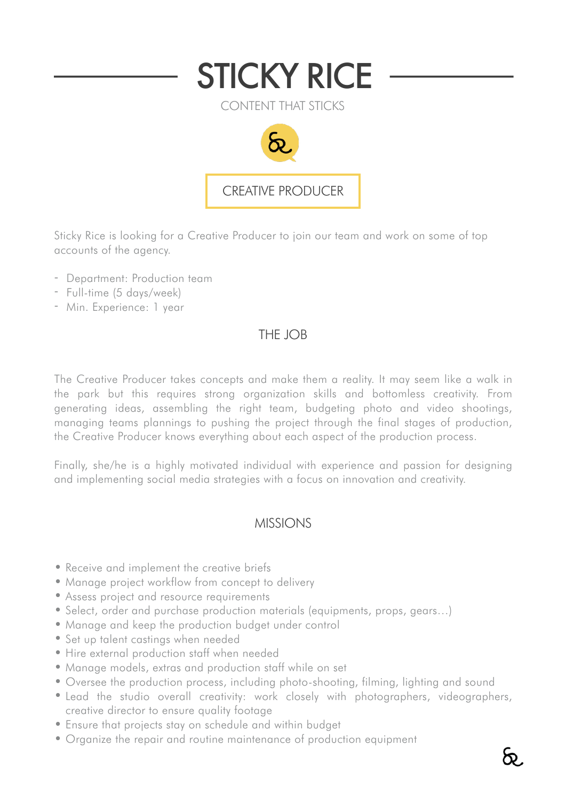

CONTENT THAT STICKS



Sticky Rice is looking for a Creative Producer to join our team and work on some of top accounts of the agency.

- Department: Production team
- Full-time (5 days/week)
- Min. Experience: 1 year

## THE JOB

The Creative Producer takes concepts and make them a reality. It may seem like a walk in the park but this requires strong organization skills and bottomless creativity. From generating ideas, assembling the right team, budgeting photo and video shootings, managing teams plannings to pushing the project through the final stages of production, the Creative Producer knows everything about each aspect of the production process.

Finally, she/he is a highly motivated individual with experience and passion for designing and implementing social media strategies with a focus on innovation and creativity.

## MISSIONS

- Receive and implement the creative briefs
- Manage project workflow from concept to delivery
- Assess project and resource requirements
- Select, order and purchase production materials (equipments, props, gears…)
- Manage and keep the production budget under control
- Set up talent castings when needed
- Hire external production staff when needed
- Manage models, extras and production staff while on set
- Oversee the production process, including photo-shooting, filming, lighting and sound
- Lead the studio overall creativity: work closely with photographers, videographers, creative director to ensure quality footage
- Ensure that projects stay on schedule and within budget
- Organize the repair and routine maintenance of production equipment